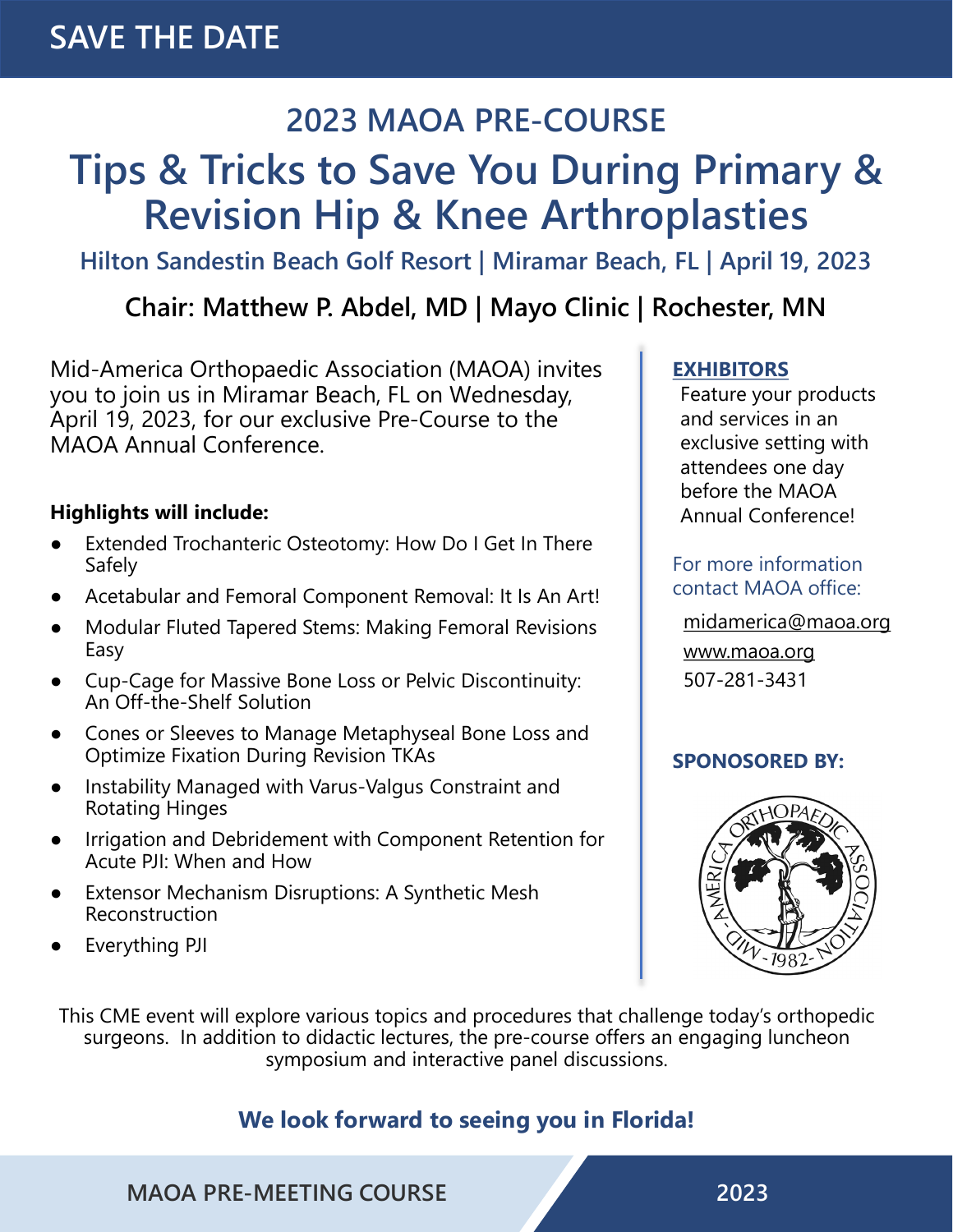### **2023 MAOA PRE-COURSE**

## **Tips & Tricks to Save You During Primary & Revision Hip & Knee Arthroplasties**

**Hilton Sandestin Beach Golf Resort | Miramar Beach, FL | April 19, 2023**

**Chair: Matthew P. Abdel, MD | Mayo Clinic | Rochester, MN**

Mid-America Orthopaedic Association (MAOA) invites you to join us in Miramar Beach, FL on Wednesday, April 19, 2023, for our exclusive Pre-Course to the MAOA Annual Conference.

#### **Highlights will include:**

- Extended Trochanteric Osteotomy: How Do I Get In There Safely
- Acetabular and Femoral Component Removal: It Is An Art!
- Modular Fluted Tapered Stems: Making Femoral Revisions Easy
- Cup-Cage for Massive Bone Loss or Pelvic Discontinuity: An Off-the-Shelf Solution
- Cones or Sleeves to Manage Metaphyseal Bone Loss and Optimize Fixation During Revision TKAs
- Instability Managed with Varus-Valgus Constraint and Rotating Hinges
- Irrigation and Debridement with Component Retention for Acute PJI: When and How
- **Extensor Mechanism Disruptions: A Synthetic Mesh** Reconstruction
- Everything PJI

#### **EXHIBITORS**

Feature your products and services in an exclusive setting with attendees one day before the MAOA Annual Conference!

#### For more information contact MAOA office:

[midamerica@maoa.org](mailto:midamerica@maoa.org) [www.maoa.org](http://www.maoa.org/)

507-281-3431

#### **SPONOSORED BY:**



This CME event will explore various topics and procedures that challenge today's orthopedic surgeons. In addition to didactic lectures, the pre-course offers an engaging luncheon symposium and interactive panel discussions.

#### **We look forward to seeing you in Florida!**

**MAOA PRE-MEETING COURSE 2023**